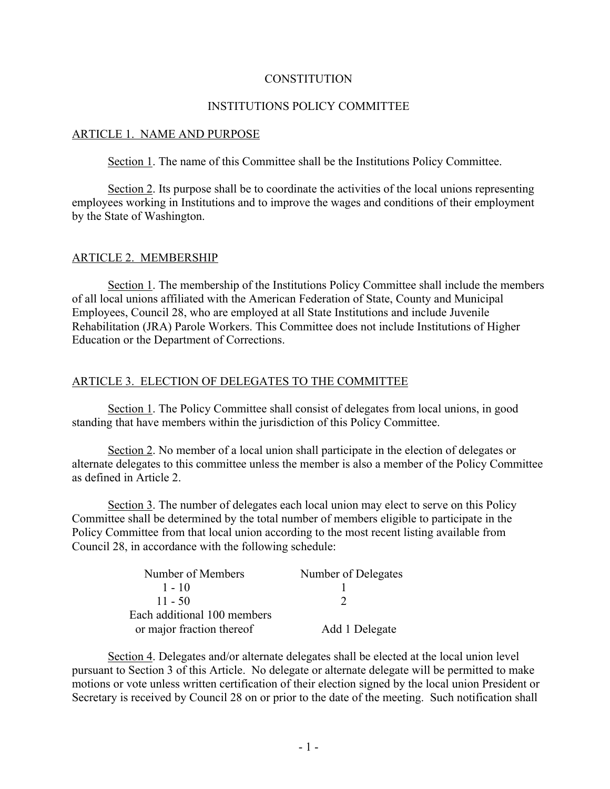#### **CONSTITUTION**

### INSTITUTIONS POLICY COMMITTEE

#### ARTICLE 1. NAME AND PURPOSE

Section 1. The name of this Committee shall be the Institutions Policy Committee.

Section 2. Its purpose shall be to coordinate the activities of the local unions representing employees working in Institutions and to improve the wages and conditions of their employment by the State of Washington.

#### ARTICLE 2. MEMBERSHIP

Section 1. The membership of the Institutions Policy Committee shall include the members of all local unions affiliated with the American Federation of State, County and Municipal Employees, Council 28, who are employed at all State Institutions and include Juvenile Rehabilitation (JRA) Parole Workers. This Committee does not include Institutions of Higher Education or the Department of Corrections.

#### ARTICLE 3. ELECTION OF DELEGATES TO THE COMMITTEE

Section 1. The Policy Committee shall consist of delegates from local unions, in good standing that have members within the jurisdiction of this Policy Committee.

Section 2. No member of a local union shall participate in the election of delegates or alternate delegates to this committee unless the member is also a member of the Policy Committee as defined in Article 2.

Section 3. The number of delegates each local union may elect to serve on this Policy Committee shall be determined by the total number of members eligible to participate in the Policy Committee from that local union according to the most recent listing available from Council 28, in accordance with the following schedule:

| Number of Members           | Number of Delegates |
|-----------------------------|---------------------|
| $1 - 10$                    |                     |
| $11 - 50$                   |                     |
| Each additional 100 members |                     |
| or major fraction thereof   | Add 1 Delegate      |

Section 4. Delegates and/or alternate delegates shall be elected at the local union level pursuant to Section 3 of this Article. No delegate or alternate delegate will be permitted to make motions or vote unless written certification of their election signed by the local union President or Secretary is received by Council 28 on or prior to the date of the meeting. Such notification shall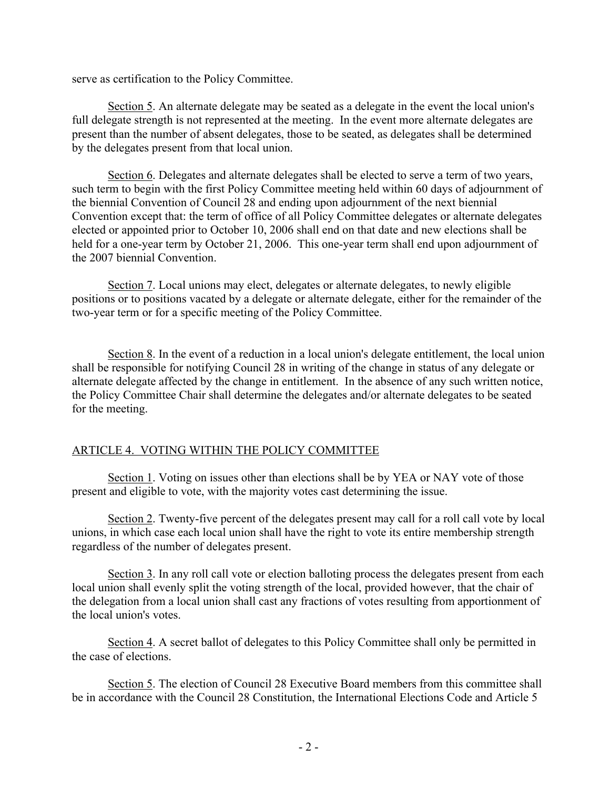serve as certification to the Policy Committee.

Section 5. An alternate delegate may be seated as a delegate in the event the local union's full delegate strength is not represented at the meeting. In the event more alternate delegates are present than the number of absent delegates, those to be seated, as delegates shall be determined by the delegates present from that local union.

Section 6. Delegates and alternate delegates shall be elected to serve a term of two years, such term to begin with the first Policy Committee meeting held within 60 days of adjournment of the biennial Convention of Council 28 and ending upon adjournment of the next biennial Convention except that: the term of office of all Policy Committee delegates or alternate delegates elected or appointed prior to October 10, 2006 shall end on that date and new elections shall be held for a one-year term by October 21, 2006. This one-year term shall end upon adjournment of the 2007 biennial Convention.

Section 7. Local unions may elect, delegates or alternate delegates, to newly eligible positions or to positions vacated by a delegate or alternate delegate, either for the remainder of the two-year term or for a specific meeting of the Policy Committee.

Section 8. In the event of a reduction in a local union's delegate entitlement, the local union shall be responsible for notifying Council 28 in writing of the change in status of any delegate or alternate delegate affected by the change in entitlement. In the absence of any such written notice, the Policy Committee Chair shall determine the delegates and/or alternate delegates to be seated for the meeting.

### ARTICLE 4. VOTING WITHIN THE POLICY COMMITTEE

Section 1. Voting on issues other than elections shall be by YEA or NAY vote of those present and eligible to vote, with the majority votes cast determining the issue.

Section 2. Twenty-five percent of the delegates present may call for a roll call vote by local unions, in which case each local union shall have the right to vote its entire membership strength regardless of the number of delegates present.

Section 3. In any roll call vote or election balloting process the delegates present from each local union shall evenly split the voting strength of the local, provided however, that the chair of the delegation from a local union shall cast any fractions of votes resulting from apportionment of the local union's votes.

Section 4. A secret ballot of delegates to this Policy Committee shall only be permitted in the case of elections.

Section 5. The election of Council 28 Executive Board members from this committee shall be in accordance with the Council 28 Constitution, the International Elections Code and Article 5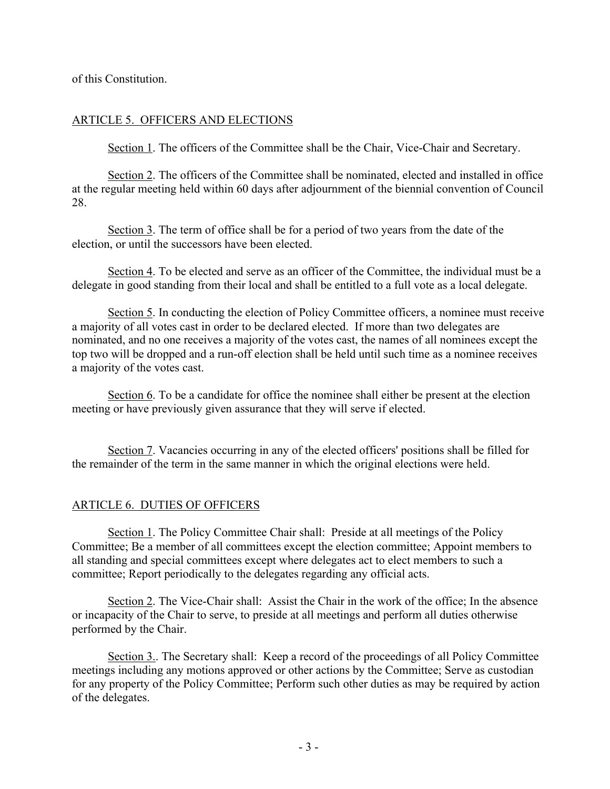of this Constitution.

### ARTICLE 5. OFFICERS AND ELECTIONS

Section 1. The officers of the Committee shall be the Chair, Vice-Chair and Secretary.

Section 2. The officers of the Committee shall be nominated, elected and installed in office at the regular meeting held within 60 days after adjournment of the biennial convention of Council 28.

Section 3. The term of office shall be for a period of two years from the date of the election, or until the successors have been elected.

Section 4. To be elected and serve as an officer of the Committee, the individual must be a delegate in good standing from their local and shall be entitled to a full vote as a local delegate.

Section 5. In conducting the election of Policy Committee officers, a nominee must receive a majority of all votes cast in order to be declared elected. If more than two delegates are nominated, and no one receives a majority of the votes cast, the names of all nominees except the top two will be dropped and a run-off election shall be held until such time as a nominee receives a majority of the votes cast.

Section 6. To be a candidate for office the nominee shall either be present at the election meeting or have previously given assurance that they will serve if elected.

Section 7. Vacancies occurring in any of the elected officers' positions shall be filled for the remainder of the term in the same manner in which the original elections were held.

#### ARTICLE 6. DUTIES OF OFFICERS

Section 1. The Policy Committee Chair shall: Preside at all meetings of the Policy Committee; Be a member of all committees except the election committee; Appoint members to all standing and special committees except where delegates act to elect members to such a committee; Report periodically to the delegates regarding any official acts.

Section 2. The Vice-Chair shall: Assist the Chair in the work of the office; In the absence or incapacity of the Chair to serve, to preside at all meetings and perform all duties otherwise performed by the Chair.

Section 3.. The Secretary shall: Keep a record of the proceedings of all Policy Committee meetings including any motions approved or other actions by the Committee; Serve as custodian for any property of the Policy Committee; Perform such other duties as may be required by action of the delegates.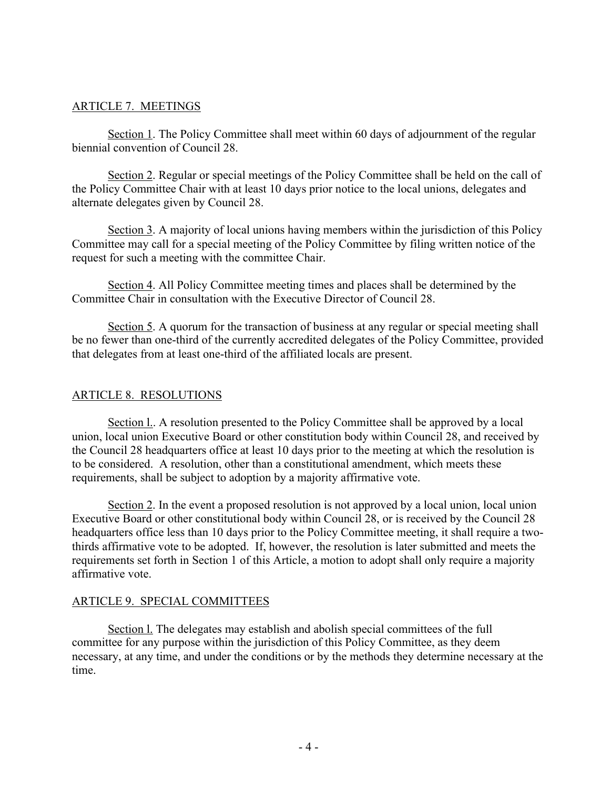## ARTICLE 7. MEETINGS

Section 1. The Policy Committee shall meet within 60 days of adjournment of the regular biennial convention of Council 28.

Section 2. Regular or special meetings of the Policy Committee shall be held on the call of the Policy Committee Chair with at least 10 days prior notice to the local unions, delegates and alternate delegates given by Council 28.

Section 3. A majority of local unions having members within the jurisdiction of this Policy Committee may call for a special meeting of the Policy Committee by filing written notice of the request for such a meeting with the committee Chair.

Section 4. All Policy Committee meeting times and places shall be determined by the Committee Chair in consultation with the Executive Director of Council 28.

Section 5. A quorum for the transaction of business at any regular or special meeting shall be no fewer than one-third of the currently accredited delegates of the Policy Committee, provided that delegates from at least one-third of the affiliated locals are present.

## ARTICLE 8. RESOLUTIONS

Section l.. A resolution presented to the Policy Committee shall be approved by a local union, local union Executive Board or other constitution body within Council 28, and received by the Council 28 headquarters office at least 10 days prior to the meeting at which the resolution is to be considered. A resolution, other than a constitutional amendment, which meets these requirements, shall be subject to adoption by a majority affirmative vote.

Section 2. In the event a proposed resolution is not approved by a local union, local union Executive Board or other constitutional body within Council 28, or is received by the Council 28 headquarters office less than 10 days prior to the Policy Committee meeting, it shall require a twothirds affirmative vote to be adopted. If, however, the resolution is later submitted and meets the requirements set forth in Section 1 of this Article, a motion to adopt shall only require a majority affirmative vote.

### ARTICLE 9. SPECIAL COMMITTEES

Section l. The delegates may establish and abolish special committees of the full committee for any purpose within the jurisdiction of this Policy Committee, as they deem necessary, at any time, and under the conditions or by the methods they determine necessary at the time.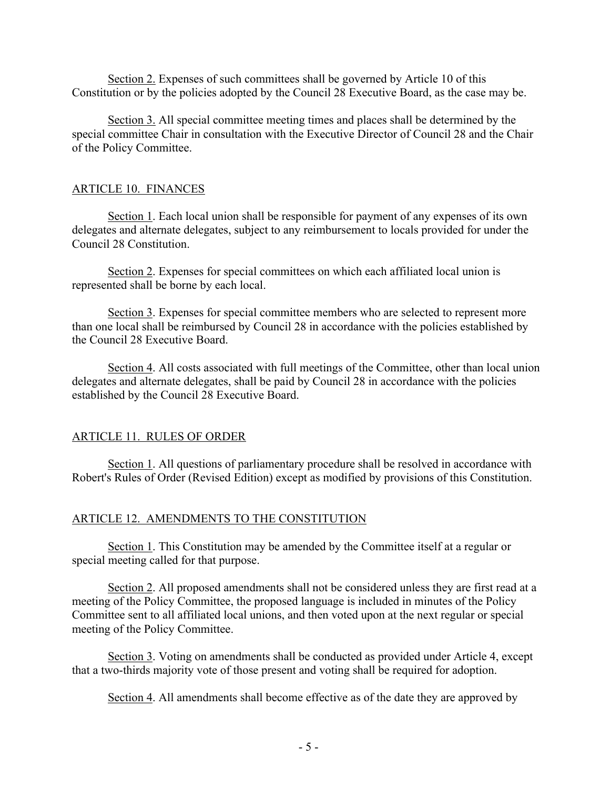Section 2. Expenses of such committees shall be governed by Article 10 of this Constitution or by the policies adopted by the Council 28 Executive Board, as the case may be.

Section 3. All special committee meeting times and places shall be determined by the special committee Chair in consultation with the Executive Director of Council 28 and the Chair of the Policy Committee.

### ARTICLE 10. FINANCES

Section 1. Each local union shall be responsible for payment of any expenses of its own delegates and alternate delegates, subject to any reimbursement to locals provided for under the Council 28 Constitution.

Section 2. Expenses for special committees on which each affiliated local union is represented shall be borne by each local.

Section 3. Expenses for special committee members who are selected to represent more than one local shall be reimbursed by Council 28 in accordance with the policies established by the Council 28 Executive Board.

Section 4. All costs associated with full meetings of the Committee, other than local union delegates and alternate delegates, shall be paid by Council 28 in accordance with the policies established by the Council 28 Executive Board.

# ARTICLE 11. RULES OF ORDER

Section 1. All questions of parliamentary procedure shall be resolved in accordance with Robert's Rules of Order (Revised Edition) except as modified by provisions of this Constitution.

### ARTICLE 12. AMENDMENTS TO THE CONSTITUTION

Section 1. This Constitution may be amended by the Committee itself at a regular or special meeting called for that purpose.

Section 2. All proposed amendments shall not be considered unless they are first read at a meeting of the Policy Committee, the proposed language is included in minutes of the Policy Committee sent to all affiliated local unions, and then voted upon at the next regular or special meeting of the Policy Committee.

Section 3. Voting on amendments shall be conducted as provided under Article 4, except that a two-thirds majority vote of those present and voting shall be required for adoption.

Section 4. All amendments shall become effective as of the date they are approved by